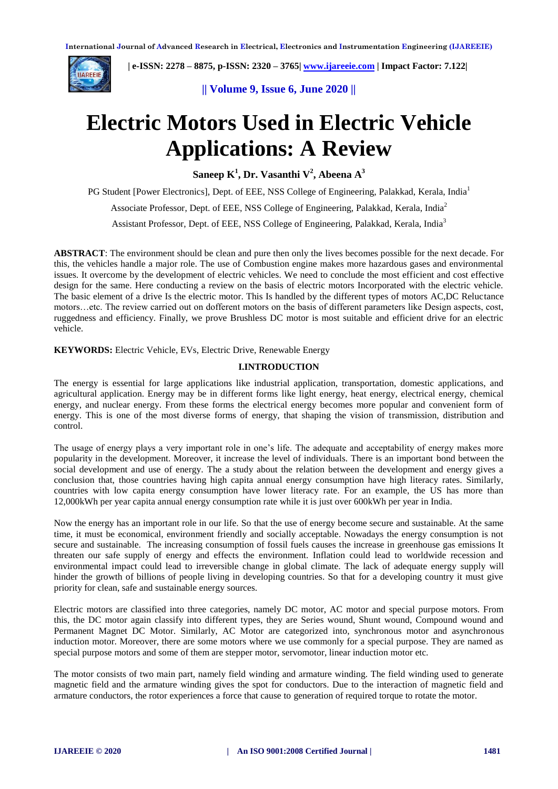

 **| e-ISSN: 2278 – 8875, p-ISSN: 2320 – 3765[| www.ijareeie.com](http://www.ijareeie.com/) | Impact Factor: 7.122|** 

**|| Volume 9, Issue 6, June 2020 ||** 

# **Electric Motors Used in Electric Vehicle Applications: A Review**

**Saneep K<sup>1</sup> , Dr. Vasanthi V<sup>2</sup> , Abeena A<sup>3</sup>**

PG Student [Power Electronics], Dept. of EEE, NSS College of Engineering, Palakkad, Kerala, India<sup>1</sup>

Associate Professor, Dept. of EEE, NSS College of Engineering, Palakkad, Kerala, India<sup>2</sup>

Assistant Professor, Dept. of EEE, NSS College of Engineering, Palakkad, Kerala, India<sup>3</sup>

**ABSTRACT**: The environment should be clean and pure then only the lives becomes possible for the next decade. For this, the vehicles handle a major role. The use of Combustion engine makes more hazardous gases and environmental issues. It overcome by the development of electric vehicles. We need to conclude the most efficient and cost effective design for the same. Here conducting a review on the basis of electric motors Incorporated with the electric vehicle. The basic element of a drive Is the electric motor. This Is handled by the different types of motors AC,DC Reluctance motors…etc. The review carried out on dofferent motors on the basis of different parameters like Design aspects, cost, ruggedness and efficiency. Finally, we prove Brushless DC motor is most suitable and efficient drive for an electric vehicle.

**KEYWORDS:** Electric Vehicle, EVs, Electric Drive, Renewable Energy

# **I.INTRODUCTION**

The energy is essential for large applications like industrial application, transportation, domestic applications, and agricultural application. Energy may be in different forms like light energy, heat energy, electrical energy, chemical energy, and nuclear energy. From these forms the electrical energy becomes more popular and convenient form of energy. This is one of the most diverse forms of energy, that shaping the vision of transmission, distribution and control.

The usage of energy plays a very important role in one's life. The adequate and acceptability of energy makes more popularity in the development. Moreover, it increase the level of individuals. There is an important bond between the social development and use of energy. The a study about the relation between the development and energy gives a conclusion that, those countries having high capita annual energy consumption have high literacy rates. Similarly, countries with low capita energy consumption have lower literacy rate. For an example, the US has more than 12,000kWh per year capita annual energy consumption rate while it is just over 600kWh per year in India.

Now the energy has an important role in our life. So that the use of energy become secure and sustainable. At the same time, it must be economical, environment friendly and socially acceptable. Nowadays the energy consumption is not secure and sustainable. The increasing consumption of fossil fuels causes the increase in greenhouse gas emissions It threaten our safe supply of energy and effects the environment. Inflation could lead to worldwide recession and environmental impact could lead to irreversible change in global climate. The lack of adequate energy supply will hinder the growth of billions of people living in developing countries. So that for a developing country it must give priority for clean, safe and sustainable energy sources.

Electric motors are classified into three categories, namely DC motor, AC motor and special purpose motors. From this, the DC motor again classify into different types, they are Series wound, Shunt wound, Compound wound and Permanent Magnet DC Motor. Similarly, AC Motor are categorized into, synchronous motor and asynchronous induction motor. Moreover, there are some motors where we use commonly for a special purpose. They are named as special purpose motors and some of them are stepper motor, servomotor, linear induction motor etc.

The motor consists of two main part, namely field winding and armature winding. The field winding used to generate magnetic field and the armature winding gives the spot for conductors. Due to the interaction of magnetic field and armature conductors, the rotor experiences a force that cause to generation of required torque to rotate the motor.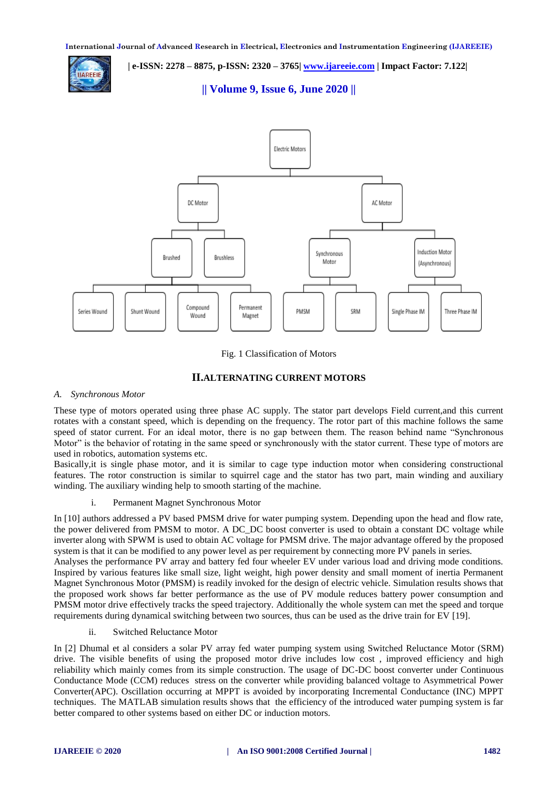

 **| e-ISSN: 2278 – 8875, p-ISSN: 2320 – 3765[| www.ijareeie.com](http://www.ijareeie.com/) | Impact Factor: 7.122|** 

**|| Volume 9, Issue 6, June 2020 ||** 



Fig. 1 Classification of Motors

# **II.ALTERNATING CURRENT MOTORS**

#### *A. Synchronous Motor*

These type of motors operated using three phase AC supply. The stator part develops Field current,and this current rotates with a constant speed, which is depending on the frequency. The rotor part of this machine follows the same speed of stator current. For an ideal motor, there is no gap between them. The reason behind name "Synchronous Motor" is the behavior of rotating in the same speed or synchronously with the stator current. These type of motors are used in robotics, automation systems etc.

Basically,it is single phase motor, and it is similar to cage type induction motor when considering constructional features. The rotor construction is similar to squirrel cage and the stator has two part, main winding and auxiliary winding. The auxiliary winding help to smooth starting of the machine.

i. Permanent Magnet Synchronous Motor

In [10] authors addressed a PV based PMSM drive for water pumping system. Depending upon the head and flow rate, the power delivered from PMSM to motor. A DC\_DC boost converter is used to obtain a constant DC voltage while inverter along with SPWM is used to obtain AC voltage for PMSM drive. The major advantage offered by the proposed system is that it can be modified to any power level as per requirement by connecting more PV panels in series. Analyses the performance PV array and battery fed four wheeler EV under various load and driving mode conditions. Inspired by various features like small size, light weight, high power density and small moment of inertia Permanent Magnet Synchronous Motor (PMSM) is readily invoked for the design of electric vehicle. Simulation results shows that the proposed work shows far better performance as the use of PV module reduces battery power consumption and PMSM motor drive effectively tracks the speed trajectory. Additionally the whole system can met the speed and torque requirements during dynamical switching between two sources, thus can be used as the drive train for EV [19].

ii. Switched Reluctance Motor

In [2] Dhumal et al considers a solar PV array fed water pumping system using Switched Reluctance Motor (SRM) drive. The visible benefits of using the proposed motor drive includes low cost , improved efficiency and high reliability which mainly comes from its simple construction. The usage of DC-DC boost converter under Continuous Conductance Mode (CCM) reduces stress on the converter while providing balanced voltage to Asymmetrical Power Converter(APC). Oscillation occurring at MPPT is avoided by incorporating Incremental Conductance (INC) MPPT techniques. The MATLAB simulation results shows that the efficiency of the introduced water pumping system is far better compared to other systems based on either DC or induction motors.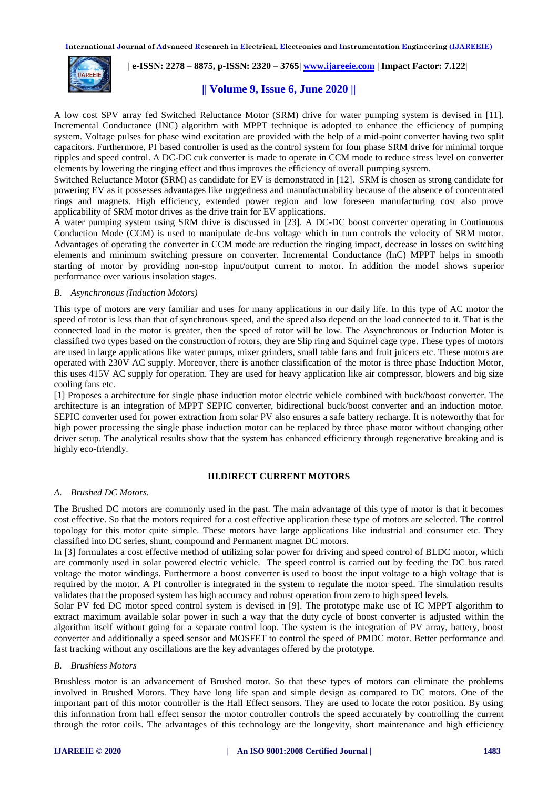**International Journal of Advanced Research in Electrical, Electronics and Instrumentation Engineering (IJAREEIE)** 



 **| e-ISSN: 2278 – 8875, p-ISSN: 2320 – 3765[| www.ijareeie.com](http://www.ijareeie.com/) | Impact Factor: 7.122|** 

# **|| Volume 9, Issue 6, June 2020 ||**

A low cost SPV array fed Switched Reluctance Motor (SRM) drive for water pumping system is devised in [11]. Incremental Conductance (INC) algorithm with MPPT technique is adopted to enhance the efficiency of pumping system. Voltage pulses for phase wind excitation are provided with the help of a mid-point converter having two split capacitors. Furthermore, PI based controller is used as the control system for four phase SRM drive for minimal torque ripples and speed control. A DC-DC cuk converter is made to operate in CCM mode to reduce stress level on converter elements by lowering the ringing effect and thus improves the efficiency of overall pumping system.

Switched Reluctance Motor (SRM) as candidate for EV is demonstrated in [12]. SRM is chosen as strong candidate for powering EV as it possesses advantages like ruggedness and manufacturability because of the absence of concentrated rings and magnets. High efficiency, extended power region and low foreseen manufacturing cost also prove applicability of SRM motor drives as the drive train for EV applications.

A water pumping system using SRM drive is discussed in [23]. A DC-DC boost converter operating in Continuous Conduction Mode (CCM) is used to manipulate dc-bus voltage which in turn controls the velocity of SRM motor. Advantages of operating the converter in CCM mode are reduction the ringing impact, decrease in losses on switching elements and minimum switching pressure on converter. Incremental Conductance (InC) MPPT helps in smooth starting of motor by providing non-stop input/output current to motor. In addition the model shows superior performance over various insolation stages.

#### *B. Asynchronous (Induction Motors)*

This type of motors are very familiar and uses for many applications in our daily life. In this type of AC motor the speed of rotor is less than that of synchronous speed, and the speed also depend on the load connected to it. That is the connected load in the motor is greater, then the speed of rotor will be low. The Asynchronous or Induction Motor is classified two types based on the construction of rotors, they are Slip ring and Squirrel cage type. These types of motors are used in large applications like water pumps, mixer grinders, small table fans and fruit juicers etc. These motors are operated with 230V AC supply. Moreover, there is another classification of the motor is three phase Induction Motor, this uses 415V AC supply for operation. They are used for heavy application like air compressor, blowers and big size cooling fans etc.

[1] Proposes a architecture for single phase induction motor electric vehicle combined with buck/boost converter. The architecture is an integration of MPPT SEPIC converter, bidirectional buck/boost converter and an induction motor. SEPIC converter used for power extraction from solar PV also ensures a safe battery recharge. It is noteworthy that for high power processing the single phase induction motor can be replaced by three phase motor without changing other driver setup. The analytical results show that the system has enhanced efficiency through regenerative breaking and is highly eco-friendly.

#### **III.DIRECT CURRENT MOTORS**

#### *A. Brushed DC Motors.*

The Brushed DC motors are commonly used in the past. The main advantage of this type of motor is that it becomes cost effective. So that the motors required for a cost effective application these type of motors are selected. The control topology for this motor quite simple. These motors have large applications like industrial and consumer etc. They classified into DC series, shunt, compound and Permanent magnet DC motors.

In [3] formulates a cost effective method of utilizing solar power for driving and speed control of BLDC motor, which are commonly used in solar powered electric vehicle. The speed control is carried out by feeding the DC bus rated voltage the motor windings. Furthermore a boost converter is used to boost the input voltage to a high voltage that is required by the motor. A PI controller is integrated in the system to regulate the motor speed. The simulation results validates that the proposed system has high accuracy and robust operation from zero to high speed levels.

Solar PV fed DC motor speed control system is devised in [9]. The prototype make use of IC MPPT algorithm to extract maximum available solar power in such a way that the duty cycle of boost converter is adjusted within the algorithm itself without going for a separate control loop. The system is the integration of PV array, battery, boost converter and additionally a speed sensor and MOSFET to control the speed of PMDC motor. Better performance and fast tracking without any oscillations are the key advantages offered by the prototype.

#### *B. Brushless Motors*

Brushless motor is an advancement of Brushed motor. So that these types of motors can eliminate the problems involved in Brushed Motors. They have long life span and simple design as compared to DC motors. One of the important part of this motor controller is the Hall Effect sensors. They are used to locate the rotor position. By using this information from hall effect sensor the motor controller controls the speed accurately by controlling the current through the rotor coils. The advantages of this technology are the longevity, short maintenance and high efficiency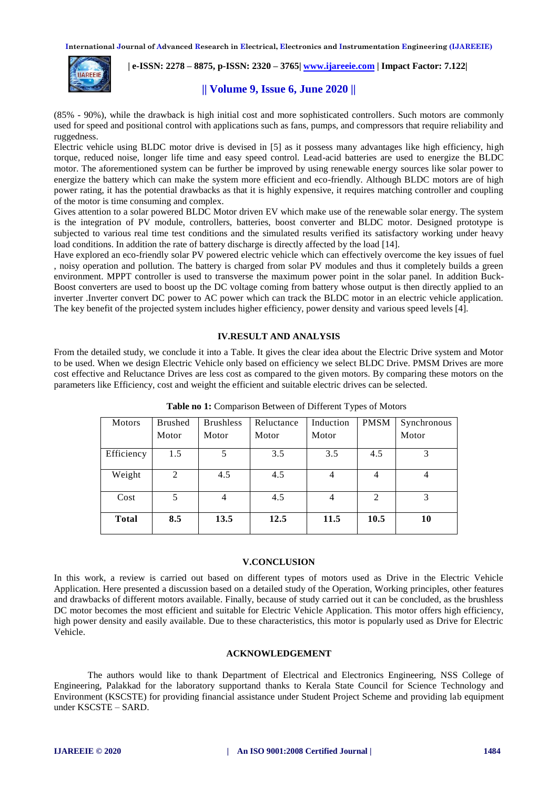**International Journal of Advanced Research in Electrical, Electronics and Instrumentation Engineering (IJAREEIE)** 



 **| e-ISSN: 2278 – 8875, p-ISSN: 2320 – 3765[| www.ijareeie.com](http://www.ijareeie.com/) | Impact Factor: 7.122|** 

# **|| Volume 9, Issue 6, June 2020 ||**

(85% - 90%), while the drawback is high initial cost and more sophisticated controllers. Such motors are commonly used for speed and positional control with applications such as fans, pumps, and compressors that require reliability and ruggedness.

Electric vehicle using BLDC motor drive is devised in [5] as it possess many advantages like high efficiency, high torque, reduced noise, longer life time and easy speed control. Lead-acid batteries are used to energize the BLDC motor. The aforementioned system can be further be improved by using renewable energy sources like solar power to energize the battery which can make the system more efficient and eco-friendly. Although BLDC motors are of high power rating, it has the potential drawbacks as that it is highly expensive, it requires matching controller and coupling of the motor is time consuming and complex.

Gives attention to a solar powered BLDC Motor driven EV which make use of the renewable solar energy. The system is the integration of PV module, controllers, batteries, boost converter and BLDC motor. Designed prototype is subjected to various real time test conditions and the simulated results verified its satisfactory working under heavy load conditions. In addition the rate of battery discharge is directly affected by the load [14].

Have explored an eco-friendly solar PV powered electric vehicle which can effectively overcome the key issues of fuel , noisy operation and pollution. The battery is charged from solar PV modules and thus it completely builds a green environment. MPPT controller is used to transverse the maximum power point in the solar panel. In addition Buck-Boost converters are used to boost up the DC voltage coming from battery whose output is then directly applied to an inverter .Inverter convert DC power to AC power which can track the BLDC motor in an electric vehicle application. The key benefit of the projected system includes higher efficiency, power density and various speed levels [4].

#### **IV.RESULT AND ANALYSIS**

From the detailed study, we conclude it into a Table. It gives the clear idea about the Electric Drive system and Motor to be used. When we design Electric Vehicle only based on efficiency we select BLDC Drive. PMSM Drives are more cost effective and Reluctance Drives are less cost as compared to the given motors. By comparing these motors on the parameters like Efficiency, cost and weight the efficient and suitable electric drives can be selected.

| <b>Motors</b> | <b>Brushed</b> | <b>Brushless</b> | Reluctance | Induction      | <b>PMSM</b>    | Synchronous |
|---------------|----------------|------------------|------------|----------------|----------------|-------------|
|               | Motor          | Motor            | Motor      | Motor          |                | Motor       |
| Efficiency    | 1.5            | 5                | 3.5        | 3.5            | 4.5            | 3           |
| Weight        | 2              | 4.5              | 4.5        | 4              | $\overline{4}$ | 4           |
| Cost          | 5              | $\overline{4}$   | 4.5        | $\overline{4}$ | 2              | 3           |
| <b>Total</b>  | 8.5            | 13.5             | 12.5       | 11.5           | 10.5           | 10          |

**Table no 1:** Comparison Between of Different Types of Motors

# **V.CONCLUSION**

In this work, a review is carried out based on different types of motors used as Drive in the Electric Vehicle Application. Here presented a discussion based on a detailed study of the Operation, Working principles, other features and drawbacks of different motors available. Finally, because of study carried out it can be concluded, as the brushless DC motor becomes the most efficient and suitable for Electric Vehicle Application. This motor offers high efficiency, high power density and easily available. Due to these characteristics, this motor is popularly used as Drive for Electric Vehicle.

# **ACKNOWLEDGEMENT**

The authors would like to thank Department of Electrical and Electronics Engineering, NSS College of Engineering, Palakkad for the laboratory supportand thanks to Kerala State Council for Science Technology and Environment (KSCSTE) for providing financial assistance under Student Project Scheme and providing lab equipment under KSCSTE – SARD.